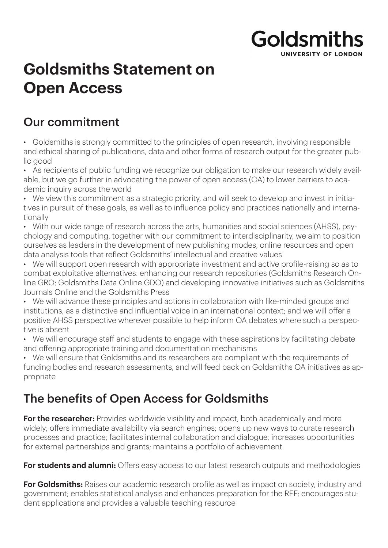## **Goldsmiths** INIVERSITY OF LONDON

# **Goldsmiths Statement on Open Access**

#### Our commitment

• Goldsmiths is strongly committed to the principles of open research, involving responsible and ethical sharing of publications, data and other forms of research output for the greater public good

• As recipients of public funding we recognize our obligation to make our research widely available, but we go further in advocating the power of open access (OA) to lower barriers to academic inquiry across the world

• We view this commitment as a strategic priority, and will seek to develop and invest in initiatives in pursuit of these goals, as well as to influence policy and practices nationally and internationally

• With our wide range of research across the arts, humanities and social sciences (AHSS), psychology and computing, together with our commitment to interdisciplinarity, we aim to position ourselves as leaders in the development of new publishing modes, online resources and open data analysis tools that reflect Goldsmiths' intellectual and creative values

• We will support open research with appropriate investment and active profile-raising so as to combat exploitative alternatives: enhancing our research repositories (Goldsmiths Research Online GRO; Goldsmiths Data Online GDO) and developing innovative initiatives such as Goldsmiths Journals Online and the Goldsmiths Press

• We will advance these principles and actions in collaboration with like-minded groups and institutions, as a distinctive and influential voice in an international context; and we will offer a positive AHSS perspective wherever possible to help inform OA debates where such a perspective is absent

• We will encourage staff and students to engage with these aspirations by facilitating debate and offering appropriate training and documentation mechanisms

• We will ensure that Goldsmiths and its researchers are compliant with the requirements of funding bodies and research assessments, and will feed back on Goldsmiths OA initiatives as appropriate

### The benefits of Open Access for Goldsmiths

**For the researcher:** Provides worldwide visibility and impact, both academically and more widely; offers immediate availability via search engines; opens up new ways to curate research processes and practice; facilitates internal collaboration and dialogue; increases opportunities for external partnerships and grants; maintains a portfolio of achievement

**For students and alumni:** Offers easy access to our latest research outputs and methodologies

**For Goldsmiths:** Raises our academic research profile as well as impact on society, industry and government; enables statistical analysis and enhances preparation for the REF; encourages student applications and provides a valuable teaching resource